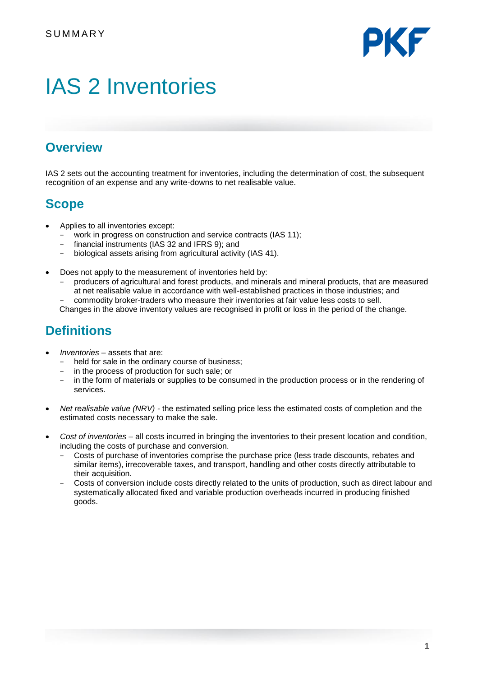

# IAS 2 Inventories

# **Overview**

IAS 2 sets out the accounting treatment for inventories, including the determination of cost, the subsequent recognition of an expense and any write-downs to net realisable value.

# **Scope**

- Applies to all inventories except:
	- work in progress on construction and service contracts (IAS 11);<br>- financial instruments (IAS 32 and IFRS 9); and
	- financial instruments (IAS 32 and IFRS 9); and
	- biological assets arising from agricultural activity (IAS 41).
- Does not apply to the measurement of inventories held by:
	- producers of agricultural and forest products, and minerals and mineral products, that are measured at net realisable value in accordance with well-established practices in those industries; and
	- commodity broker-traders who measure their inventories at fair value less costs to sell.
	- Changes in the above inventory values are recognised in profit or loss in the period of the change.

# **Definitions**

- *Inventories –* assets that are:
	- held for sale in the ordinary course of business;
	- in the process of production for such sale; or
	- in the form of materials or supplies to be consumed in the production process or in the rendering of services.
- *Net realisable value (NRV) -* the estimated selling price less the estimated costs of completion and the estimated costs necessary to make the sale.
- *Cost of inventories*  all costs incurred in bringing the inventories to their present location and condition, including the costs of purchase and conversion.
	- Costs of purchase of inventories comprise the purchase price (less trade discounts, rebates and similar items), irrecoverable taxes, and transport, handling and other costs directly attributable to their acquisition.
	- Costs of conversion include costs directly related to the units of production, such as direct labour and systematically allocated fixed and variable production overheads incurred in producing finished goods.